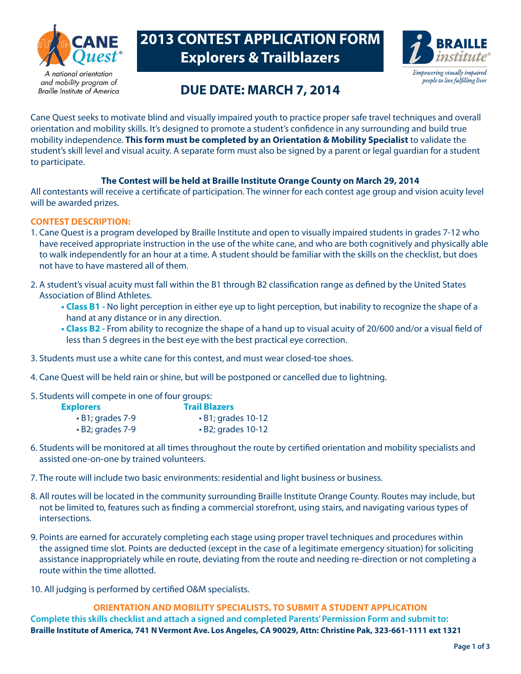

A national orientation and mobility program of **Braille Institute of America** 

# **2013 CONTEST APPLICATION FORM Explorers & Trailblazers**



# **DUE DATE: MARCH 7, 2014**

Cane Quest seeks to motivate blind and visually impaired youth to practice proper safe travel techniques and overall orientation and mobility skills. It's designed to promote a student's confidence in any surrounding and build true mobility independence. **This form must be completed by an Orientation & Mobility Specialist** to validate the student's skill level and visual acuity. A separate form must also be signed by a parent or legal guardian for a student to participate.

## **The Contest will be held at Braille Institute Orange County on March 29, 2014**

All contestants will receive a certificate of participation. The winner for each contest age group and vision acuity level will be awarded prizes.

### **CONTEST DESCRIPTION:**

- 1. Cane Quest is a program developed by Braille Institute and open to visually impaired students in grades 7-12 who have received appropriate instruction in the use of the white cane, and who are both cognitively and physically able to walk independently for an hour at a time. A student should be familiar with the skills on the checklist, but does not have to have mastered all of them.
- 2. A student's visual acuity must fall within the B1 through B2 classification range as defined by the United States Association of Blind Athletes.
	- **Class B1** No light perception in either eye up to light perception, but inability to recognize the shape of a hand at any distance or in any direction.
	- **Class B2** From ability to recognize the shape of a hand up to visual acuity of 20/600 and/or a visual field of less than 5 degrees in the best eye with the best practical eye correction.
- 3. Students must use a white cane for this contest, and must wear closed-toe shoes.
- 4. Cane Quest will be held rain or shine, but will be postponed or cancelled due to lightning.
- 5. Students will compete in one of four groups:

| <b>Explorers</b>       | <b>Trail Blazers</b>     |  |  |
|------------------------|--------------------------|--|--|
| $\cdot$ B1; grades 7-9 | $\cdot$ B1; grades 10-12 |  |  |
| $\cdot$ B2; grades 7-9 | $\cdot$ B2; grades 10-12 |  |  |

- 6. Students will be monitored at all times throughout the route by certified orientation and mobility specialists and assisted one-on-one by trained volunteers.
- 7. The route will include two basic environments: residential and light business or business.
- 8. All routes will be located in the community surrounding Braille Institute Orange County. Routes may include, but not be limited to, features such as finding a commercial storefront, using stairs, and navigating various types of intersections.
- 9. Points are earned for accurately completing each stage using proper travel techniques and procedures within the assigned time slot. Points are deducted (except in the case of a legitimate emergency situation) for soliciting assistance inappropriately while en route, deviating from the route and needing re-direction or not completing a route within the time allotted.
- 10. All judging is performed by certified O&M specialists.

**ORIENTATION AND MOBILITY SPECIALISTS, TO SUBMIT A STUDENT APPLICATION Complete this skills checklist and attach a signed and completed Parents' Permission Form and submit to: Braille Institute of America, 741 N Vermont Ave. Los Angeles, CA 90029, Attn: Christine Pak, 323-661-1111 ext 1321**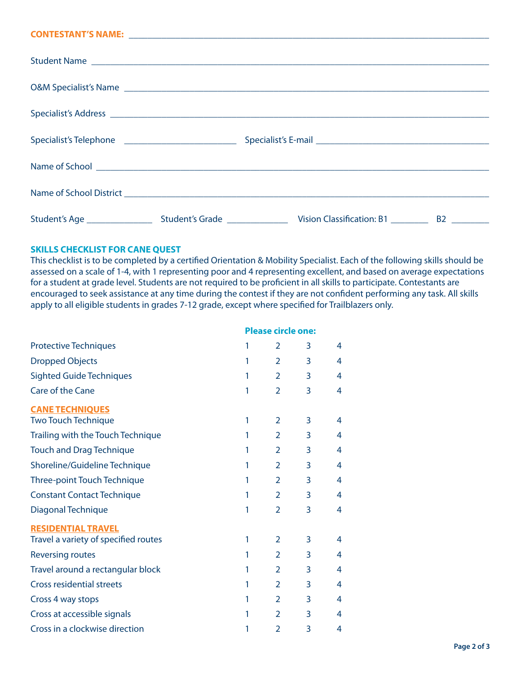#### **CONTESTANT'S NAME:** \_\_\_\_\_\_\_\_\_\_\_\_\_\_\_\_\_\_\_\_\_\_\_\_\_\_\_\_\_\_\_\_\_\_\_\_\_\_\_\_\_\_\_\_\_\_\_\_\_\_\_\_\_\_\_\_\_\_\_\_\_\_\_\_\_\_\_\_\_\_\_\_\_\_\_\_\_

|  | Student Name                                                                                                                                                                                                                   |    |
|--|--------------------------------------------------------------------------------------------------------------------------------------------------------------------------------------------------------------------------------|----|
|  |                                                                                                                                                                                                                                |    |
|  |                                                                                                                                                                                                                                |    |
|  |                                                                                                                                                                                                                                |    |
|  | Name of School entry and the second state of School entry and the second state of School entry and the second state of School entry and the second state of School entry and the second state of School entry and the second s |    |
|  |                                                                                                                                                                                                                                |    |
|  |                                                                                                                                                                                                                                | B2 |

#### **SKILLS CHECKLIST FOR CANE QUEST**

This checklist is to be completed by a certified Orientation & Mobility Specialist. Each of the following skills should be assessed on a scale of 1-4, with 1 representing poor and 4 representing excellent, and based on average expectations for a student at grade level. Students are not required to be proficient in all skills to participate. Contestants are encouraged to seek assistance at any time during the contest if they are not confident performing any task. All skills apply to all eligible students in grades 7-12 grade, except where specified for Trailblazers only.

|                                      | <b>Please circle one:</b> |                |   |   |
|--------------------------------------|---------------------------|----------------|---|---|
| <b>Protective Techniques</b>         | 1                         | 2              | 3 | 4 |
| <b>Dropped Objects</b>               | 1                         | 2              | 3 | 4 |
| <b>Sighted Guide Techniques</b>      | 1                         | 2              | 3 | 4 |
| Care of the Cane                     | 1                         | $\overline{2}$ | 3 | 4 |
| <b>CANE TECHNIQUES</b>               |                           |                |   |   |
| <b>Two Touch Technique</b>           | 1                         | 2              | 3 | 4 |
| Trailing with the Touch Technique    | 1                         | $\overline{2}$ | 3 | 4 |
| <b>Touch and Drag Technique</b>      | 1                         | $\overline{2}$ | 3 | 4 |
| Shoreline/Guideline Technique        | 1                         | $\overline{2}$ | 3 | 4 |
| Three-point Touch Technique          | 1                         | $\overline{2}$ | 3 | 4 |
| <b>Constant Contact Technique</b>    | 1                         | $\overline{2}$ | 3 | 4 |
| Diagonal Technique                   | 1                         | $\overline{2}$ | 3 | 4 |
| <b>RESIDENTIAL TRAVEL</b>            |                           |                |   |   |
| Travel a variety of specified routes | 1                         | 2              | 3 | 4 |
| <b>Reversing routes</b>              | 1                         | 2              | 3 | 4 |
| Travel around a rectangular block    | 1                         | 2              | 3 | 4 |
| <b>Cross residential streets</b>     | 1                         | 2              | 3 | 4 |
| Cross 4 way stops                    | 1                         | 2              | 3 | 4 |
| Cross at accessible signals          | 1                         | $\overline{2}$ | 3 | 4 |
| Cross in a clockwise direction       | 1                         | $\overline{2}$ | 3 | 4 |